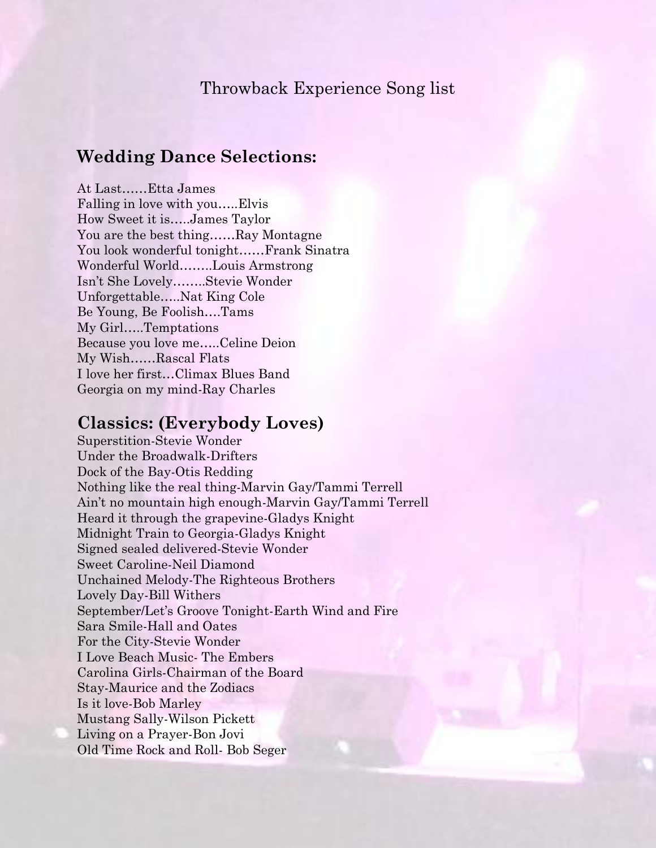### Throwback Experience Song list

# **Wedding Dance Selections:**

At Last……Etta James Falling in love with you…..Elvis How Sweet it is…..James Taylor You are the best thing……Ray Montagne You look wonderful tonight……Frank Sinatra Wonderful World……..Louis Armstrong Isn't She Lovely……..Stevie Wonder Unforgettable…..Nat King Cole Be Young, Be Foolish….Tams My Girl…..Temptations Because you love me…..Celine Deion My Wish……Rascal Flats I love her first…Climax Blues Band Georgia on my mind-Ray Charles

### **Classics: (Everybody Loves)**

Superstition-Stevie Wonder Under the Broadwalk-Drifters Dock of the Bay-Otis Redding Nothing like the real thing-Marvin Gay/Tammi Terrell Ain't no mountain high enough-Marvin Gay/Tammi Terrell Heard it through the grapevine-Gladys Knight Midnight Train to Georgia-Gladys Knight Signed sealed delivered-Stevie Wonder Sweet Caroline-Neil Diamond Unchained Melody-The Righteous Brothers Lovely Day-Bill Withers September/Let's Groove Tonight-Earth Wind and Fire Sara Smile-Hall and Oates For the City-Stevie Wonder I Love Beach Music- The Embers Carolina Girls-Chairman of the Board Stay-Maurice and the Zodiacs Is it love-Bob Marley Mustang Sally-Wilson Pickett Living on a Prayer-Bon Jovi Old Time Rock and Roll- Bob Seger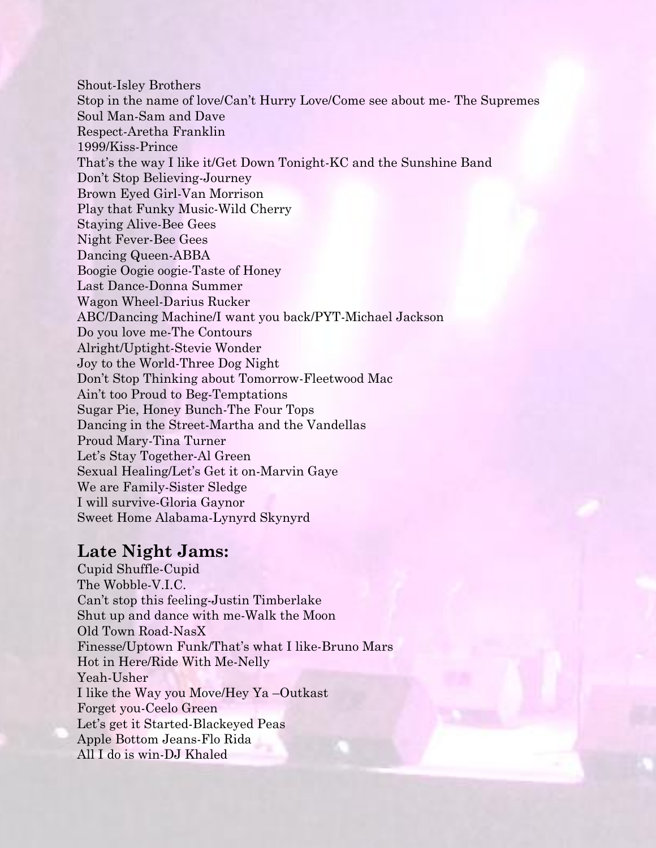Shout-Isley Brothers Stop in the name of love/Can't Hurry Love/Come see about me- The Supremes Soul Man-Sam and Dave Respect-Aretha Franklin 1999/Kiss-Prince That's the way I like it/Get Down Tonight-KC and the Sunshine Band Don't Stop Believing-Journey Brown Eyed Girl-Van Morrison Play that Funky Music-Wild Cherry Staying Alive-Bee Gees Night Fever-Bee Gees Dancing Queen-ABBA Boogie Oogie oogie-Taste of Honey Last Dance-Donna Summer Wagon Wheel-Darius Rucker ABC/Dancing Machine/I want you back/PYT-Michael Jackson Do you love me-The Contours Alright/Uptight-Stevie Wonder Joy to the World-Three Dog Night Don't Stop Thinking about Tomorrow-Fleetwood Mac Ain't too Proud to Beg-Temptations Sugar Pie, Honey Bunch-The Four Tops Dancing in the Street-Martha and the Vandellas Proud Mary-Tina Turner Let's Stay Together-Al Green Sexual Healing/Let's Get it on-Marvin Gaye We are Family-Sister Sledge I will survive-Gloria Gaynor Sweet Home Alabama-Lynyrd Skynyrd

#### **Late Night Jams:**

Cupid Shuffle-Cupid The Wobble-V.I.C. Can't stop this feeling-Justin Timberlake Shut up and dance with me-Walk the Moon Old Town Road-NasX Finesse/Uptown Funk/That's what I like-Bruno Mars Hot in Here/Ride With Me-Nelly Yeah-Usher I like the Way you Move/Hey Ya –Outkast Forget you-Ceelo Green Let's get it Started-Blackeyed Peas Apple Bottom Jeans-Flo Rida All I do is win-DJ Khaled